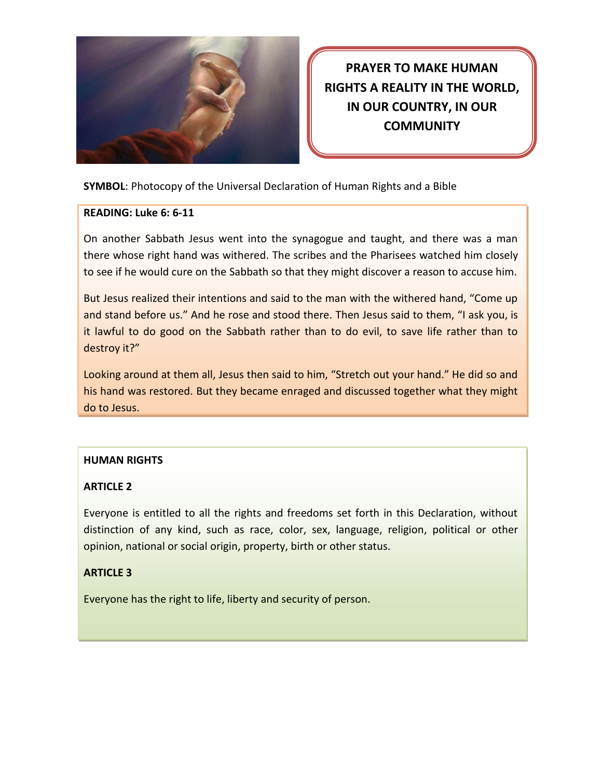

**PRAYER TO MAKE HUMAN RIGHTS A REALITY IN THE WORLD, IN OUR COUNTRY, IN OUR COMMUNITY**

**SYMBOL**: Photocopy of the Universal Declaration of Human Rights and a Bible

### **READING: Luke 6: 6-11**

On another Sabbath Jesus went into the synagogue and taught, and there was a man there whose right hand was withered. The scribes and the Pharisees watched him closely to see if he would cure on the Sabbath so that they might discover a reason to accuse him.

But Jesus realized their intentions and said to the man with the withered hand, "Come up and stand before us." And he rose and stood there. Then Jesus said to them, "I ask you, is it lawful to do good on the Sabbath rather than to do evil, to save life rather than to destroy it?"

Looking around at them all, Jesus then said to him, "Stretch out your hand." He did so and his hand was restored. But they became enraged and discussed together what they might do to Jesus.

# **HUMAN RIGHTS**

# **ARTICLE 2**

Everyone is entitled to all the rights and freedoms set forth in this Declaration, without distinction of any kind, such as race, color, sex, language, religion, political or other opinion, national or social origin, property, birth or other status.

### **ARTICLE 3**

Everyone has the right to life, liberty and security of person.